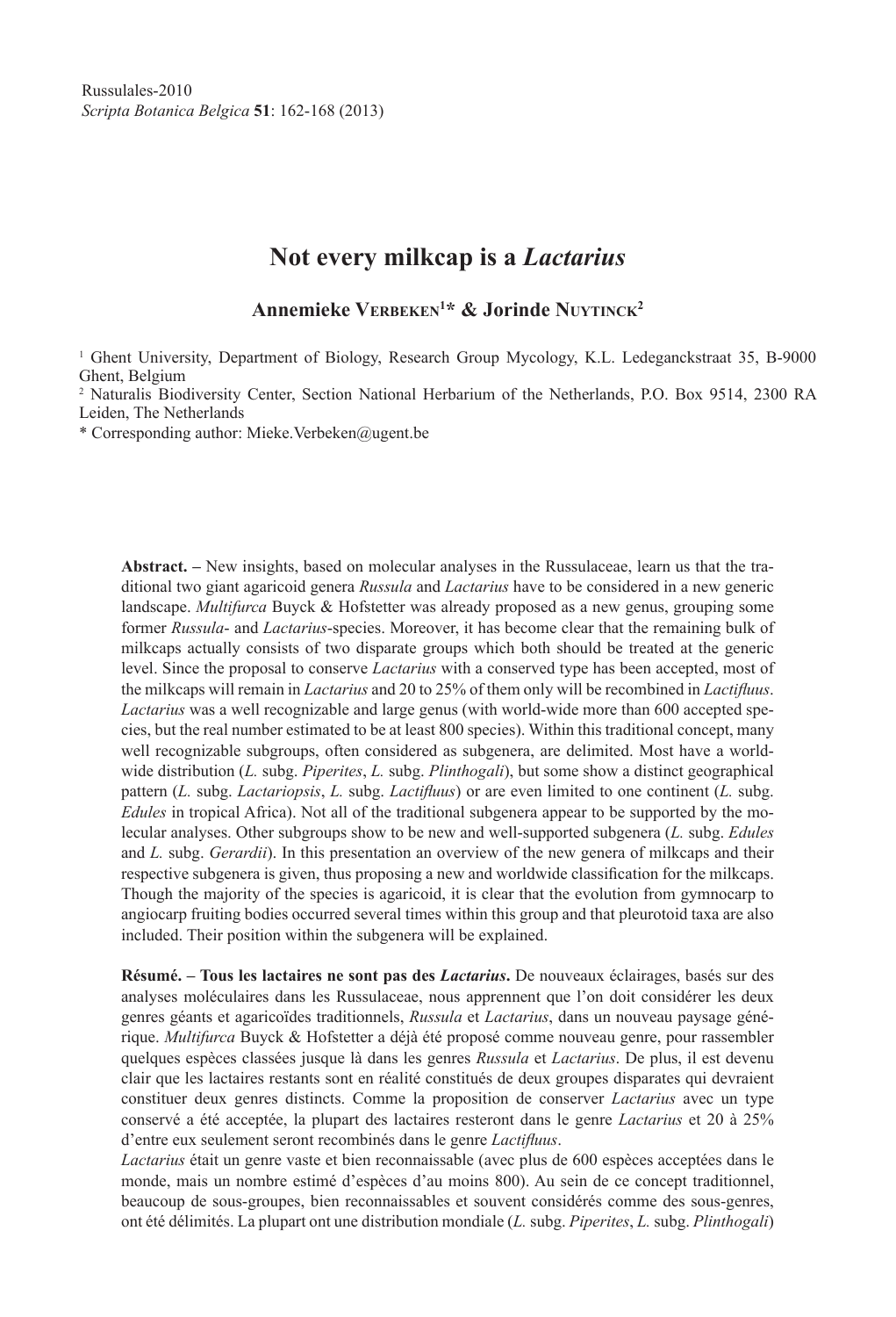# **Not every milkcap is a** *Lactarius*

**Annemieke Verbeken1 \* & Jorinde Nuytinck2**

<sup>1</sup> Ghent University, Department of Biology, Research Group Mycology, K.L. Ledeganckstraat 35, B-9000 Ghent, Belgium

2 Naturalis Biodiversity Center, Section National Herbarium of the Netherlands, P.O. Box 9514, 2300 RA Leiden, The Netherlands

\* Corresponding author: Mieke.Verbeken@ugent.be

**Abstract. –** New insights, based on molecular analyses in the Russulaceae, learn us that the traditional two giant agaricoid genera *Russula* and *Lactarius* have to be considered in a new generic landscape. *Multifurca* Buyck & Hofstetter was already proposed as a new genus, grouping some former *Russula*- and *Lactarius*-species. Moreover, it has become clear that the remaining bulk of milkcaps actually consists of two disparate groups which both should be treated at the generic level. Since the proposal to conserve *Lactarius* with a conserved type has been accepted, most of the milkcaps will remain in *Lactarius* and 20 to 25% of them only will be recombined in *Lactifluus*. *Lactarius* was a well recognizable and large genus (with world-wide more than 600 accepted species, but the real number estimated to be at least 800 species). Within this traditional concept, many well recognizable subgroups, often considered as subgenera, are delimited. Most have a worldwide distribution (*L.* subg. *Piperites*, *L.* subg. *Plinthogali*), but some show a distinct geographical pattern (*L.* subg. *Lactariopsis*, *L.* subg. *Lactifluus*) or are even limited to one continent (*L.* subg. *Edules* in tropical Africa). Not all of the traditional subgenera appear to be supported by the molecular analyses. Other subgroups show to be new and well-supported subgenera (*L.* subg. *Edules* and *L.* subg. *Gerardii*). In this presentation an overview of the new genera of milkcaps and their respective subgenera is given, thus proposing a new and worldwide classification for the milkcaps. Though the majority of the species is agaricoid, it is clear that the evolution from gymnocarp to angiocarp fruiting bodies occurred several times within this group and that pleurotoid taxa are also included. Their position within the subgenera will be explained.

**Résumé. – Tous les lactaires ne sont pas des** *Lactarius***.** De nouveaux éclairages, basés sur des analyses moléculaires dans les Russulaceae, nous apprennent que l'on doit considérer les deux genres géants et agaricoïdes traditionnels, *Russula* et *Lactarius*, dans un nouveau paysage générique. *Multifurca* Buyck & Hofstetter a déjà été proposé comme nouveau genre, pour rassembler quelques espèces classées jusque là dans les genres *Russula* et *Lactarius*. De plus, il est devenu clair que les lactaires restants sont en réalité constitués de deux groupes disparates qui devraient constituer deux genres distincts. Comme la proposition de conserver *Lactarius* avec un type conservé a été acceptée, la plupart des lactaires resteront dans le genre *Lactarius* et 20 à 25% d'entre eux seulement seront recombinés dans le genre *Lactifluus*.

*Lactarius* était un genre vaste et bien reconnaissable (avec plus de 600 espèces acceptées dans le monde, mais un nombre estimé d'espèces d'au moins 800). Au sein de ce concept traditionnel, beaucoup de sous-groupes, bien reconnaissables et souvent considérés comme des sous-genres, ont été délimités. La plupart ont une distribution mondiale (*L.* subg. *Piperites*, *L.* subg. *Plinthogali*)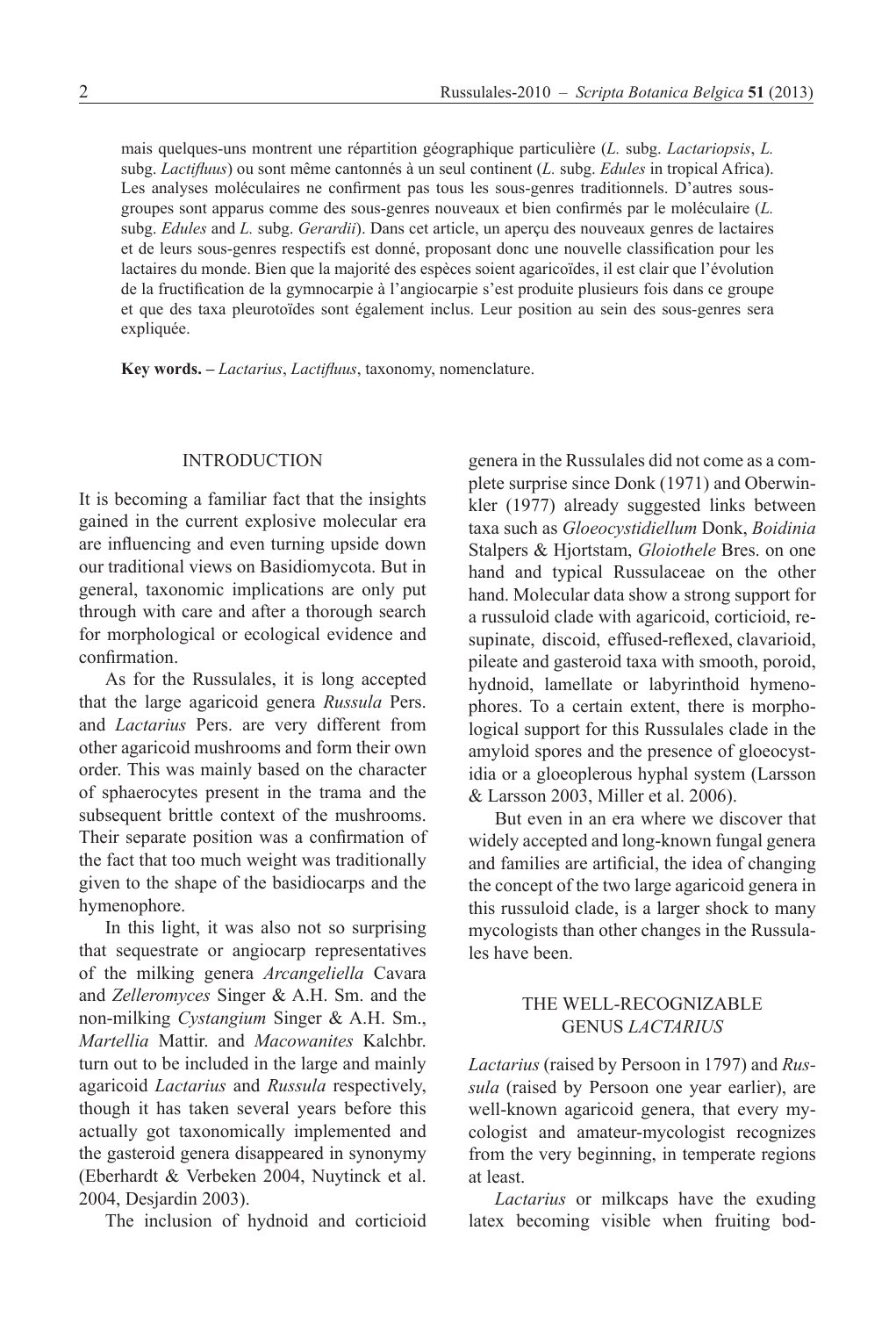mais quelques-uns montrent une répartition géographique particulière (*L.* subg. *Lactariopsis*, *L.* subg. *Lactifluus*) ou sont même cantonnés à un seul continent (*L.* subg. *Edules* in tropical Africa). Les analyses moléculaires ne confirment pas tous les sous-genres traditionnels. D'autres sousgroupes sont apparus comme des sous-genres nouveaux et bien confirmés par le moléculaire (*L.* subg. *Edules* and *L.* subg. *Gerardii*). Dans cet article, un aperçu des nouveaux genres de lactaires et de leurs sous-genres respectifs est donné, proposant donc une nouvelle classification pour les lactaires du monde. Bien que la majorité des espèces soient agaricoïdes, il est clair que l'évolution de la fructification de la gymnocarpie à l'angiocarpie s'est produite plusieurs fois dans ce groupe et que des taxa pleurotoïdes sont également inclus. Leur position au sein des sous-genres sera expliquée.

**Key words. –** *Lactarius*, *Lactifluus*, taxonomy, nomenclature.

#### INTRODUCTION

It is becoming a familiar fact that the insights gained in the current explosive molecular era are influencing and even turning upside down our traditional views on Basidiomycota. But in general, taxonomic implications are only put through with care and after a thorough search for morphological or ecological evidence and confirmation.

As for the Russulales, it is long accepted that the large agaricoid genera *Russula* Pers. and *Lactarius* Pers. are very different from other agaricoid mushrooms and form their own order. This was mainly based on the character of sphaerocytes present in the trama and the subsequent brittle context of the mushrooms. Their separate position was a confirmation of the fact that too much weight was traditionally given to the shape of the basidiocarps and the hymenophore.

In this light, it was also not so surprising that sequestrate or angiocarp representatives of the milking genera *Arcangeliella* Cavara and *Zelleromyces* Singer & A.H. Sm. and the non-milking *Cystangium* Singer & A.H. Sm., *Martellia* Mattir. and *Macowanites* Kalchbr. turn out to be included in the large and mainly agaricoid *Lactarius* and *Russula* respectively, though it has taken several years before this actually got taxonomically implemented and the gasteroid genera disappeared in synonymy (Eberhardt & Verbeken 2004, Nuytinck et al. 2004, Desjardin 2003).

The inclusion of hydnoid and corticioid

genera in the Russulales did not come as a complete surprise since Donk (1971) and Oberwinkler (1977) already suggested links between taxa such as *Gloeocystidiellum* Donk, *Boidinia* Stalpers & Hjortstam, *Gloiothele* Bres. on one hand and typical Russulaceae on the other hand. Molecular data show a strong support for a russuloid clade with agaricoid, corticioid, resupinate, discoid, effused-reflexed, clavarioid, pileate and gasteroid taxa with smooth, poroid, hydnoid, lamellate or labyrinthoid hymenophores. To a certain extent, there is morphological support for this Russulales clade in the amyloid spores and the presence of gloeocystidia or a gloeoplerous hyphal system (Larsson & Larsson 2003, Miller et al. 2006).

But even in an era where we discover that widely accepted and long-known fungal genera and families are artificial, the idea of changing the concept of the two large agaricoid genera in this russuloid clade, is a larger shock to many mycologists than other changes in the Russulales have been.

#### THE WELL-RECOGNIZABLE GENUS *LACTARIUS*

*Lactarius* (raised by Persoon in 1797) and *Russula* (raised by Persoon one year earlier), are well-known agaricoid genera, that every mycologist and amateur-mycologist recognizes from the very beginning, in temperate regions at least.

*Lactarius* or milkcaps have the exuding latex becoming visible when fruiting bod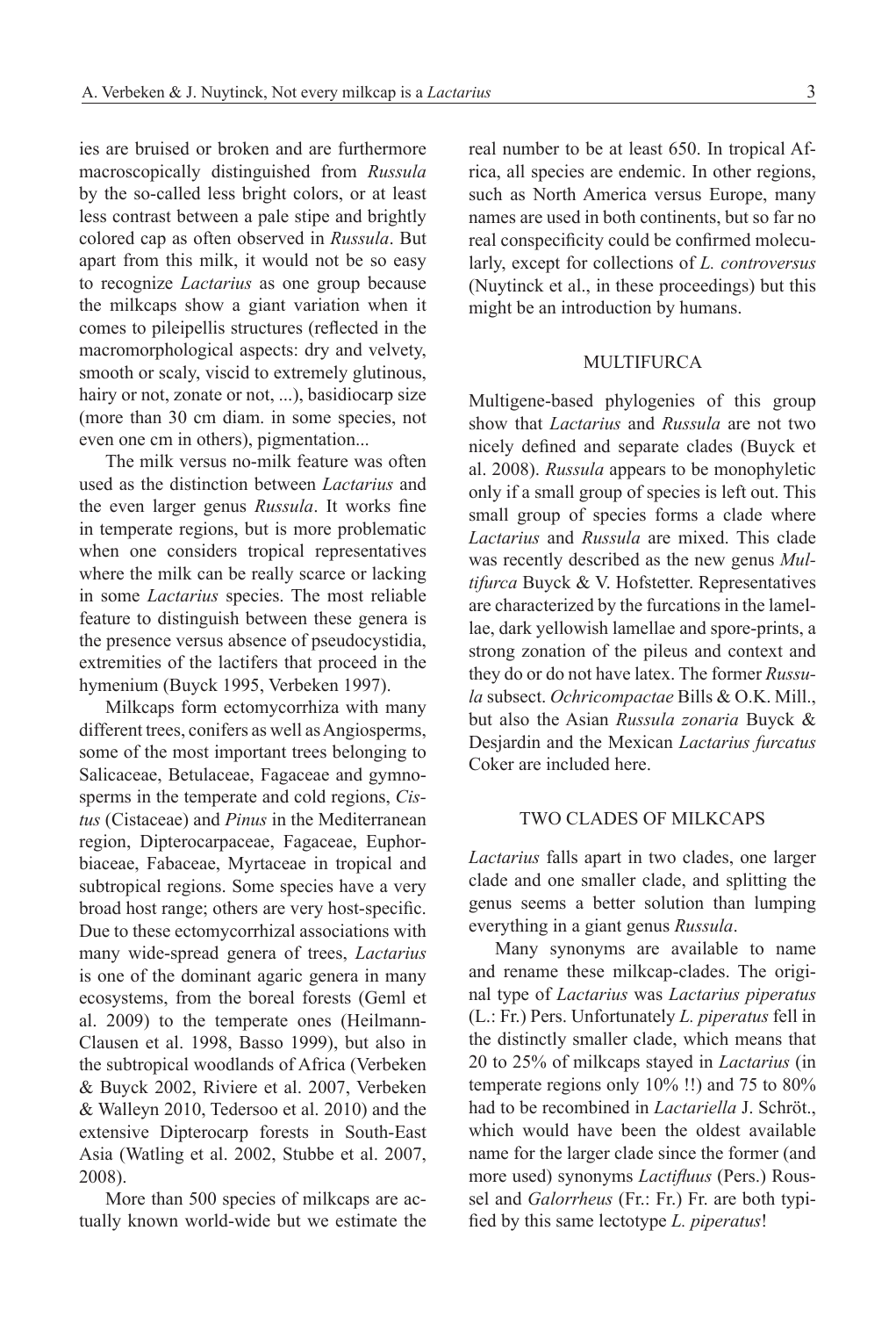ies are bruised or broken and are furthermore macroscopically distinguished from *Russula* by the so-called less bright colors, or at least less contrast between a pale stipe and brightly colored cap as often observed in *Russula*. But apart from this milk, it would not be so easy to recognize *Lactarius* as one group because the milkcaps show a giant variation when it comes to pileipellis structures (reflected in the macromorphological aspects: dry and velvety, smooth or scaly, viscid to extremely glutinous, hairy or not, zonate or not, ...), basidiocarp size (more than 30 cm diam. in some species, not even one cm in others), pigmentation...

The milk versus no-milk feature was often used as the distinction between *Lactarius* and the even larger genus *Russula*. It works fine in temperate regions, but is more problematic when one considers tropical representatives where the milk can be really scarce or lacking in some *Lactarius* species. The most reliable feature to distinguish between these genera is the presence versus absence of pseudocystidia, extremities of the lactifers that proceed in the hymenium (Buyck 1995, Verbeken 1997).

Milkcaps form ectomycorrhiza with many different trees, conifers as well as Angiosperms, some of the most important trees belonging to Salicaceae, Betulaceae, Fagaceae and gymnosperms in the temperate and cold regions, *Cistus* (Cistaceae) and *Pinus* in the Mediterranean region, Dipterocarpaceae, Fagaceae, Euphorbiaceae, Fabaceae, Myrtaceae in tropical and subtropical regions. Some species have a very broad host range; others are very host-specific. Due to these ectomycorrhizal associations with many wide-spread genera of trees, *Lactarius* is one of the dominant agaric genera in many ecosystems, from the boreal forests (Geml et al. 2009) to the temperate ones (Heilmann-Clausen et al. 1998, Basso 1999), but also in the subtropical woodlands of Africa (Verbeken & Buyck 2002, Riviere et al. 2007, Verbeken & Walleyn 2010, Tedersoo et al. 2010) and the extensive Dipterocarp forests in South-East Asia (Watling et al. 2002, Stubbe et al. 2007, 2008).

More than 500 species of milkcaps are actually known world-wide but we estimate the real number to be at least 650. In tropical Africa, all species are endemic. In other regions, such as North America versus Europe, many names are used in both continents, but so far no real conspecificity could be confirmed molecularly, except for collections of *L. controversus* (Nuytinck et al., in these proceedings) but this might be an introduction by humans.

#### **MULTIFURCA**

Multigene-based phylogenies of this group show that *Lactarius* and *Russula* are not two nicely defined and separate clades (Buyck et al. 2008). *Russula* appears to be monophyletic only if a small group of species is left out. This small group of species forms a clade where *Lactarius* and *Russula* are mixed. This clade was recently described as the new genus *Multifurca* Buyck & V. Hofstetter. Representatives are characterized by the furcations in the lamellae, dark yellowish lamellae and spore-prints, a strong zonation of the pileus and context and they do or do not have latex. The former *Russula* subsect. *Ochricompactae* Bills & O.K. Mill., but also the Asian *Russula zonaria* Buyck & Desjardin and the Mexican *Lactarius furcatus* Coker are included here.

## TWO CLADES OF MILKCAPS

*Lactarius* falls apart in two clades, one larger clade and one smaller clade, and splitting the genus seems a better solution than lumping everything in a giant genus *Russula*.

Many synonyms are available to name and rename these milkcap-clades. The original type of *Lactarius* was *Lactarius piperatus* (L.: Fr.) Pers. Unfortunately *L. piperatus* fell in the distinctly smaller clade, which means that 20 to 25% of milkcaps stayed in *Lactarius* (in temperate regions only 10% !!) and 75 to 80% had to be recombined in *Lactariella* J. Schröt., which would have been the oldest available name for the larger clade since the former (and more used) synonyms *Lactifluus* (Pers.) Roussel and *Galorrheus* (Fr.: Fr.) Fr. are both typified by this same lectotype *L. piperatus*!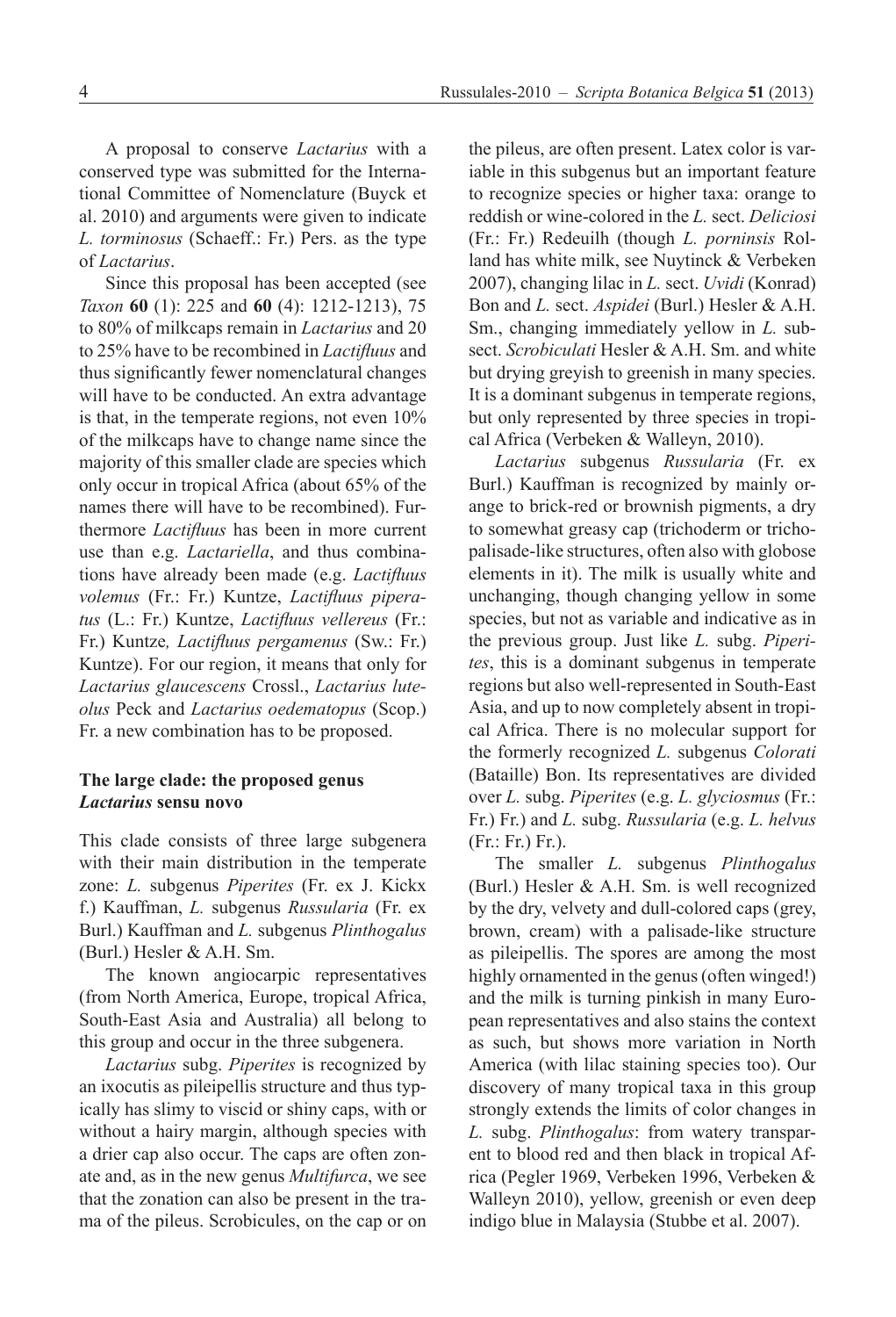A proposal to conserve *Lactarius* with a conserved type was submitted for the International Committee of Nomenclature (Buyck et al. 2010) and arguments were given to indicate *L. torminosus* (Schaeff.: Fr.) Pers. as the type of *Lactarius*.

Since this proposal has been accepted (see *Taxon* **60** (1): 225 and **60** (4): 1212-1213), 75 to 80% of milkcaps remain in *Lactarius* and 20 to 25% have to be recombined in *Lactifluus* and thus significantly fewer nomenclatural changes will have to be conducted. An extra advantage is that, in the temperate regions, not even 10% of the milkcaps have to change name since the majority of this smaller clade are species which only occur in tropical Africa (about 65% of the names there will have to be recombined). Furthermore *Lactifluus* has been in more current use than e.g. *Lactariella*, and thus combinations have already been made (e.g. *Lactifluus volemus* (Fr.: Fr.) Kuntze, *Lactifluus piperatus* (L.: Fr.) Kuntze, *Lactifluus vellereus* (Fr.: Fr.) Kuntze*, Lactifluus pergamenus* (Sw.: Fr.) Kuntze). For our region, it means that only for *Lactarius glaucescens* Crossl., *Lactarius luteolus* Peck and *Lactarius oedematopus* (Scop.) Fr. a new combination has to be proposed.

## **The large clade: the proposed genus** *Lactarius* **sensu novo**

This clade consists of three large subgenera with their main distribution in the temperate zone: *L.* subgenus *Piperites* (Fr. ex J. Kickx f.) Kauffman, *L.* subgenus *Russularia* (Fr. ex Burl.) Kauffman and *L.* subgenus *Plinthogalus*  (Burl.) Hesler & A.H. Sm.

The known angiocarpic representatives (from North America, Europe, tropical Africa, South-East Asia and Australia) all belong to this group and occur in the three subgenera.

*Lactarius* subg. *Piperites* is recognized by an ixocutis as pileipellis structure and thus typically has slimy to viscid or shiny caps, with or without a hairy margin, although species with a drier cap also occur. The caps are often zonate and, as in the new genus *Multifurca*, we see that the zonation can also be present in the trama of the pileus. Scrobicules, on the cap or on the pileus, are often present. Latex color is variable in this subgenus but an important feature to recognize species or higher taxa: orange to reddish or wine-colored in the *L.* sect. *Deliciosi* (Fr.: Fr.) Redeuilh (though *L. porninsis* Rolland has white milk, see Nuytinck & Verbeken 2007), changing lilac in *L.* sect. *Uvidi* (Konrad) Bon and *L.* sect. *Aspidei* (Burl.) Hesler & A.H. Sm., changing immediately yellow in *L.* subsect. *Scrobiculati* Hesler & A.H. Sm. and white but drying greyish to greenish in many species. It is a dominant subgenus in temperate regions, but only represented by three species in tropical Africa (Verbeken & Walleyn, 2010).

*Lactarius* subgenus *Russularia* (Fr. ex Burl.) Kauffman is recognized by mainly orange to brick-red or brownish pigments, a dry to somewhat greasy cap (trichoderm or trichopalisade-like structures, often also with globose elements in it). The milk is usually white and unchanging, though changing yellow in some species, but not as variable and indicative as in the previous group. Just like *L.* subg. *Piperites*, this is a dominant subgenus in temperate regions but also well-represented in South-East Asia, and up to now completely absent in tropical Africa. There is no molecular support for the formerly recognized *L.* subgenus *Colorati* (Bataille) Bon. Its representatives are divided over *L.* subg. *Piperites* (e.g. *L. glyciosmus* (Fr.: Fr.) Fr.) and *L.* subg. *Russularia* (e.g. *L. helvus* (Fr.: Fr.) Fr.).

The smaller *L.* subgenus *Plinthogalus* (Burl.) Hesler & A.H. Sm. is well recognized by the dry, velvety and dull-colored caps (grey, brown, cream) with a palisade-like structure as pileipellis. The spores are among the most highly ornamented in the genus (often winged!) and the milk is turning pinkish in many European representatives and also stains the context as such, but shows more variation in North America (with lilac staining species too). Our discovery of many tropical taxa in this group strongly extends the limits of color changes in *L.* subg. *Plinthogalus*: from watery transparent to blood red and then black in tropical Africa (Pegler 1969, Verbeken 1996, Verbeken & Walleyn 2010), yellow, greenish or even deep indigo blue in Malaysia (Stubbe et al. 2007).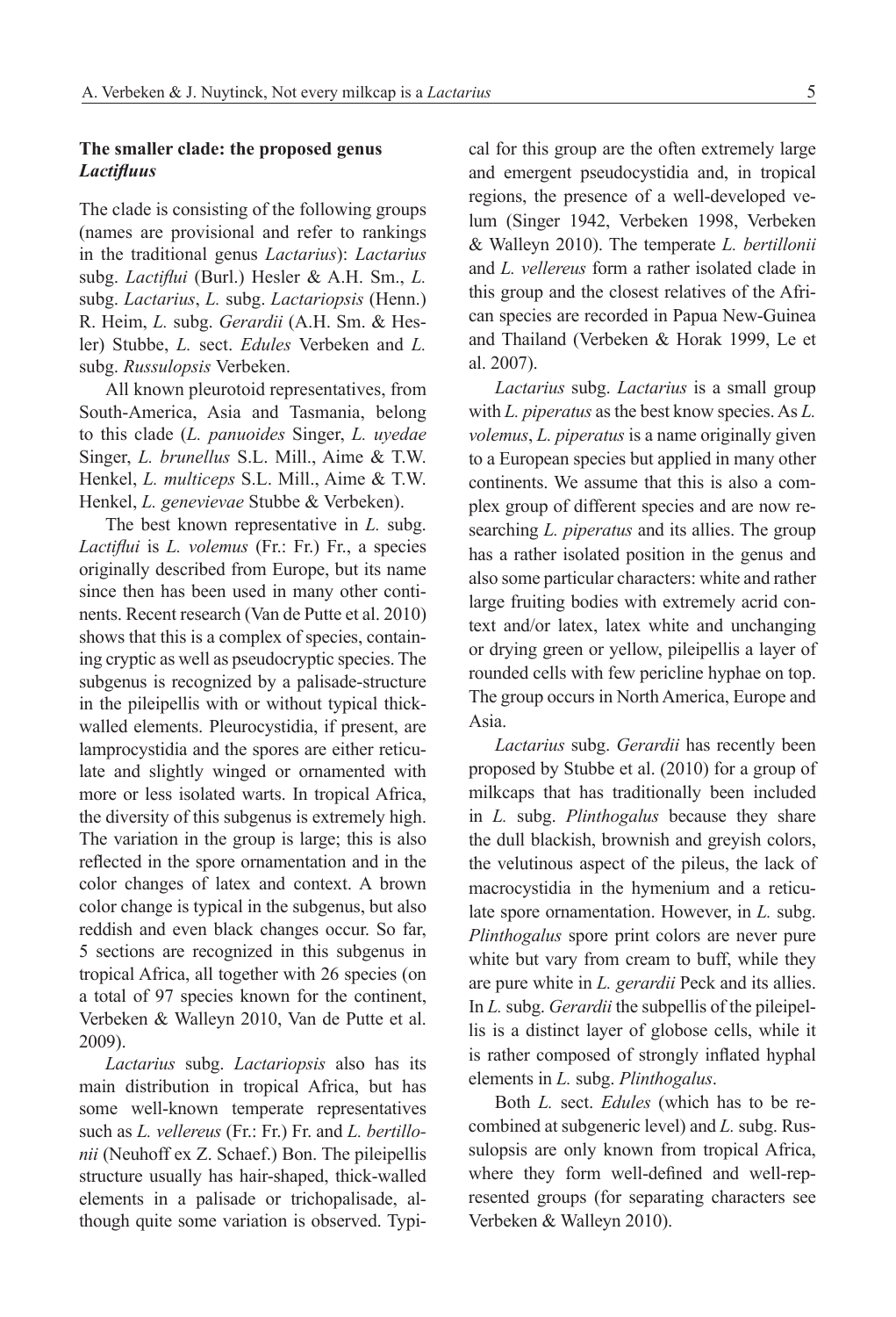## **The smaller clade: the proposed genus** *Lactifluus*

The clade is consisting of the following groups (names are provisional and refer to rankings in the traditional genus *Lactarius*): *Lactarius* subg. *Lactiflui* (Burl.) Hesler & A.H. Sm., *L.* subg. *Lactarius*, *L.* subg. *Lactariopsis* (Henn.) R. Heim, *L.* subg. *Gerardii* (A.H. Sm. & Hesler) Stubbe, *L.* sect. *Edules* Verbeken and *L.* subg. *Russulopsis* Verbeken.

All known pleurotoid representatives, from South-America, Asia and Tasmania, belong to this clade (*L. panuoides* Singer, *L. uyedae*  Singer, *L. brunellus* S.L. Mill., Aime & T.W. Henkel, *L. multiceps* S.L. Mill., Aime & T.W. Henkel, *L. genevievae* Stubbe & Verbeken).

The best known representative in *L.* subg. *Lactiflui* is *L. volemus* (Fr.: Fr.) Fr., a species originally described from Europe, but its name since then has been used in many other continents. Recent research (Van de Putte et al. 2010) shows that this is a complex of species, containing cryptic as well as pseudocryptic species. The subgenus is recognized by a palisade-structure in the pileipellis with or without typical thickwalled elements. Pleurocystidia, if present, are lamprocystidia and the spores are either reticulate and slightly winged or ornamented with more or less isolated warts. In tropical Africa, the diversity of this subgenus is extremely high. The variation in the group is large; this is also reflected in the spore ornamentation and in the color changes of latex and context. A brown color change is typical in the subgenus, but also reddish and even black changes occur. So far, 5 sections are recognized in this subgenus in tropical Africa, all together with 26 species (on a total of 97 species known for the continent, Verbeken & Walleyn 2010, Van de Putte et al. 2009).

*Lactarius* subg. *Lactariopsis* also has its main distribution in tropical Africa, but has some well-known temperate representatives such as *L. vellereus* (Fr.: Fr.) Fr. and *L. bertillonii* (Neuhoff ex Z. Schaef.) Bon. The pileipellis structure usually has hair-shaped, thick-walled elements in a palisade or trichopalisade, although quite some variation is observed. Typical for this group are the often extremely large and emergent pseudocystidia and, in tropical regions, the presence of a well-developed velum (Singer 1942, Verbeken 1998, Verbeken & Walleyn 2010). The temperate *L. bertillonii* and *L. vellereus* form a rather isolated clade in this group and the closest relatives of the African species are recorded in Papua New-Guinea and Thailand (Verbeken & Horak 1999, Le et al. 2007).

*Lactarius* subg. *Lactarius* is a small group with *L. piperatus* as the best know species. As *L. volemus*, *L. piperatus* is a name originally given to a European species but applied in many other continents. We assume that this is also a complex group of different species and are now researching *L. piperatus* and its allies. The group has a rather isolated position in the genus and also some particular characters: white and rather large fruiting bodies with extremely acrid context and/or latex, latex white and unchanging or drying green or yellow, pileipellis a layer of rounded cells with few pericline hyphae on top. The group occurs in North America, Europe and Asia.

*Lactarius* subg. *Gerardii* has recently been proposed by Stubbe et al. (2010) for a group of milkcaps that has traditionally been included in *L.* subg. *Plinthogalus* because they share the dull blackish, brownish and greyish colors, the velutinous aspect of the pileus, the lack of macrocystidia in the hymenium and a reticulate spore ornamentation. However, in *L.* subg. *Plinthogalus* spore print colors are never pure white but vary from cream to buff, while they are pure white in *L. gerardii* Peck and its allies. In *L.* subg. *Gerardii* the subpellis of the pileipellis is a distinct layer of globose cells, while it is rather composed of strongly inflated hyphal elements in *L.* subg. *Plinthogalus*.

Both *L.* sect. *Edules* (which has to be recombined at subgeneric level) and *L.* subg. Russulopsis are only known from tropical Africa, where they form well-defined and well-represented groups (for separating characters see Verbeken & Walleyn 2010).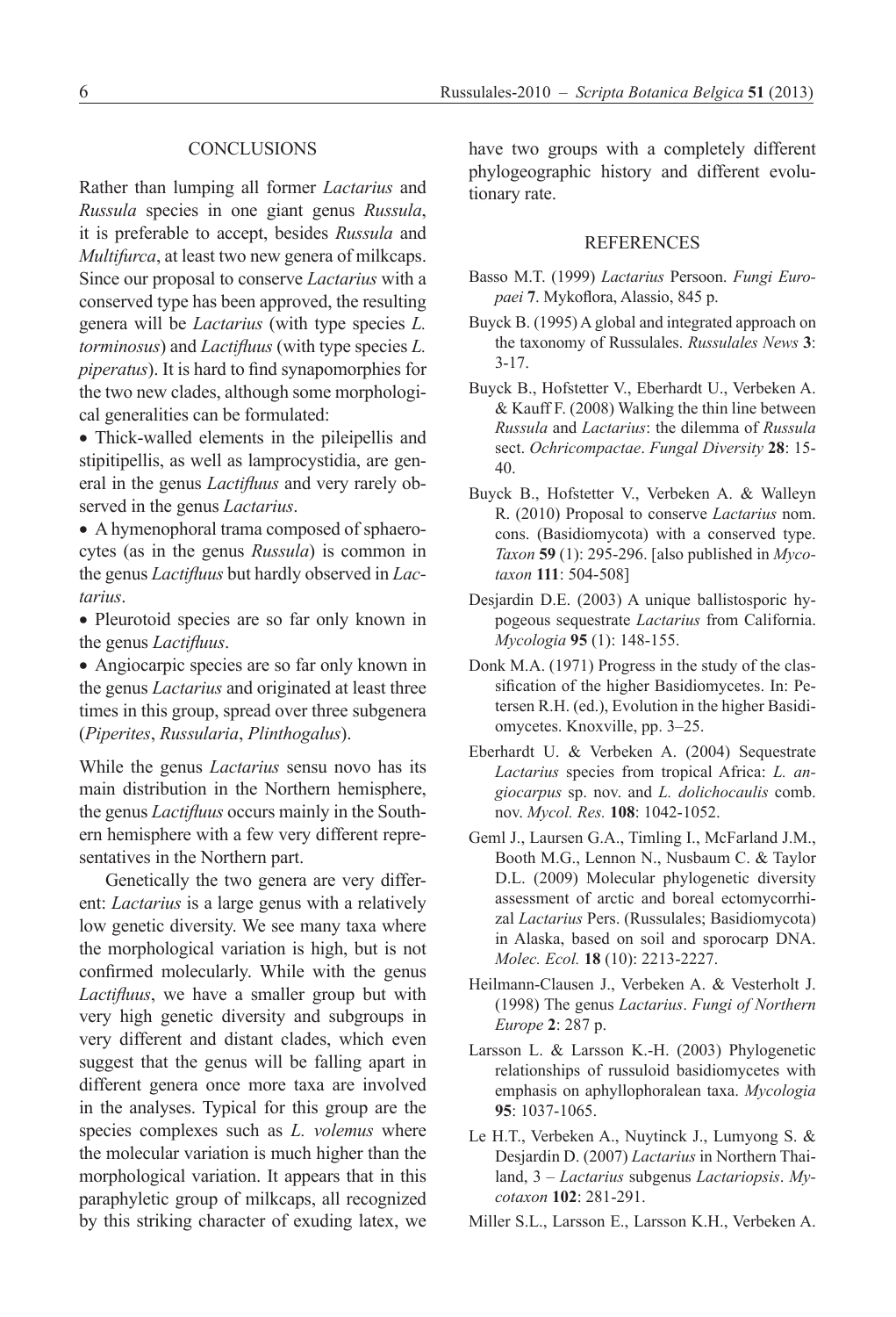### **CONCLUSIONS**

Rather than lumping all former *Lactarius* and *Russula* species in one giant genus *Russula*, it is preferable to accept, besides *Russula* and *Multifurca*, at least two new genera of milkcaps. Since our proposal to conserve *Lactarius* with a conserved type has been approved, the resulting genera will be *Lactarius* (with type species *L. torminosus*) and *Lactifluus* (with type species *L. piperatus*). It is hard to find synapomorphies for the two new clades, although some morphological generalities can be formulated:

• Thick-walled elements in the pileipellis and stipitipellis, as well as lamprocystidia, are general in the genus *Lactifluus* and very rarely observed in the genus *Lactarius*.

• A hymenophoral trama composed of sphaerocytes (as in the genus *Russula*) is common in the genus *Lactifluus* but hardly observed in *Lactarius*.

• Pleurotoid species are so far only known in the genus *Lactifluus*.

• Angiocarpic species are so far only known in the genus *Lactarius* and originated at least three times in this group, spread over three subgenera (*Piperites*, *Russularia*, *Plinthogalus*).

While the genus *Lactarius* sensu novo has its main distribution in the Northern hemisphere, the genus *Lactifluus* occurs mainly in the Southern hemisphere with a few very different representatives in the Northern part.

Genetically the two genera are very different: *Lactarius* is a large genus with a relatively low genetic diversity. We see many taxa where the morphological variation is high, but is not confirmed molecularly. While with the genus *Lactifluus*, we have a smaller group but with very high genetic diversity and subgroups in very different and distant clades, which even suggest that the genus will be falling apart in different genera once more taxa are involved in the analyses. Typical for this group are the species complexes such as *L. volemus* where the molecular variation is much higher than the morphological variation. It appears that in this paraphyletic group of milkcaps, all recognized by this striking character of exuding latex, we

have two groups with a completely different phylogeographic history and different evolutionary rate.

#### **REFERENCES**

- Basso M.T. (1999) *Lactarius* Persoon. *Fungi Europaei* **7**. Mykoflora, Alassio, 845 p.
- Buyck B. (1995) A global and integrated approach on the taxonomy of Russulales. *Russulales News* **3**: 3-17.
- Buyck B., Hofstetter V., Eberhardt U., Verbeken A. & Kauff F. (2008) Walking the thin line between *Russula* and *Lactarius*: the dilemma of *Russula* sect. *Ochricompactae*. *Fungal Diversity* **28**: 15- 40.
- Buyck B., Hofstetter V., Verbeken A. & Walleyn R. (2010) Proposal to conserve *Lactarius* nom. cons. (Basidiomycota) with a conserved type. *Taxon* **59** (1): 295-296. [also published in *Mycotaxon* **111**: 504-508]
- Desjardin D.E. (2003) A unique ballistosporic hypogeous sequestrate *Lactarius* from California. *Mycologia* **95** (1): 148-155.
- Donk M.A. (1971) Progress in the study of the classification of the higher Basidiomycetes. In: Petersen R.H. (ed.), Evolution in the higher Basidiomycetes. Knoxville, pp. 3–25.
- Eberhardt U. & Verbeken A. (2004) Sequestrate *Lactarius* species from tropical Africa: *L. angiocarpus* sp. nov. and *L. dolichocaulis* comb. nov. *Mycol. Res.* **108**: 1042-1052.
- Geml J., Laursen G.A., Timling I., McFarland J.M., Booth M.G., Lennon N., Nusbaum C. & Taylor D.L. (2009) Molecular phylogenetic diversity assessment of arctic and boreal ectomycorrhizal *Lactarius* Pers. (Russulales; Basidiomycota) in Alaska, based on soil and sporocarp DNA. *Molec. Ecol.* **18** (10): 2213-2227.
- Heilmann-Clausen J., Verbeken A. & Vesterholt J. (1998) The genus *Lactarius*. *Fungi of Northern Europe* **2**: 287 p.
- Larsson L. & Larsson K.-H. (2003) Phylogenetic relationships of russuloid basidiomycetes with emphasis on aphyllophoralean taxa. *Mycologia* **95**: 1037-1065.
- Le H.T., Verbeken A., Nuytinck J., Lumyong S. & Desjardin D. (2007) *Lactarius* in Northern Thailand, 3 – *Lactarius* subgenus *Lactariopsis*. *Mycotaxon* **102**: 281-291.

Miller S.L., Larsson E., Larsson K.H., Verbeken A.